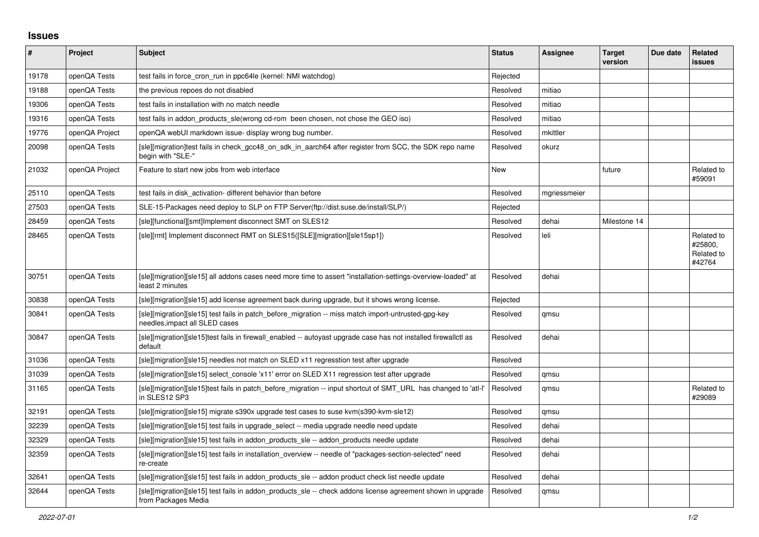## **Issues**

| #     | Project        | <b>Subject</b>                                                                                                                        | <b>Status</b> | Assignee     | <b>Target</b><br>version | Due date | Related<br>issues                             |
|-------|----------------|---------------------------------------------------------------------------------------------------------------------------------------|---------------|--------------|--------------------------|----------|-----------------------------------------------|
| 19178 | openQA Tests   | test fails in force cron run in ppc64le (kernel: NMI watchdog)                                                                        | Rejected      |              |                          |          |                                               |
| 19188 | openQA Tests   | the previous repoes do not disabled                                                                                                   | Resolved      | mitiao       |                          |          |                                               |
| 19306 | openQA Tests   | test fails in installation with no match needle                                                                                       | Resolved      | mitiao       |                          |          |                                               |
| 19316 | openQA Tests   | test fails in addon products sle(wrong cd-rom been chosen, not chose the GEO iso)                                                     | Resolved      | mitiao       |                          |          |                                               |
| 19776 | openQA Project | openQA webUI markdown issue-display wrong bug number.                                                                                 | Resolved      | mkittler     |                          |          |                                               |
| 20098 | openQA Tests   | [sle][migration]test fails in check gcc48 on sdk in aarch64 after register from SCC, the SDK repo name<br>begin with "SLE-"           | Resolved      | okurz        |                          |          |                                               |
| 21032 | openQA Project | Feature to start new jobs from web interface                                                                                          | New           |              | future                   |          | Related to<br>#59091                          |
| 25110 | openQA Tests   | test fails in disk activation-different behavior than before                                                                          | Resolved      | mgriessmeier |                          |          |                                               |
| 27503 | openQA Tests   | SLE-15-Packages need deploy to SLP on FTP Server(ftp://dist.suse.de/install/SLP/)                                                     | Rejected      |              |                          |          |                                               |
| 28459 | openQA Tests   | [sle][functional][smt]Implement disconnect SMT on SLES12                                                                              | Resolved      | dehai        | Milestone 14             |          |                                               |
| 28465 | openQA Tests   | [sle][rmt] Implement disconnect RMT on SLES15([SLE][migration][sle15sp1])                                                             | Resolved      | leli         |                          |          | Related to<br>#25800,<br>Related to<br>#42764 |
| 30751 | openQA Tests   | [sle][migration][sle15] all addons cases need more time to assert "installation-settings-overview-loaded" at<br>least 2 minutes       | Resolved      | dehai        |                          |          |                                               |
| 30838 | openQA Tests   | [sle][migration][sle15] add license agreement back during upgrade, but it shows wrong license.                                        | Rejected      |              |                          |          |                                               |
| 30841 | openQA Tests   | [sle][migration][sle15] test fails in patch_before_migration -- miss match import-untrusted-gpg-key<br>needles, impact all SLED cases | Resolved      | qmsu         |                          |          |                                               |
| 30847 | openQA Tests   | [sle][migration][sle15]test fails in firewall_enabled -- autoyast upgrade case has not installed firewallctl as<br>default            | Resolved      | dehai        |                          |          |                                               |
| 31036 | openQA Tests   | [sle][migration][sle15] needles not match on SLED x11 regresstion test after upgrade                                                  | Resolved      |              |                          |          |                                               |
| 31039 | openQA Tests   | [sle][migration][sle15] select_console 'x11' error on SLED X11 regression test after upgrade                                          | Resolved      | qmsu         |                          |          |                                               |
| 31165 | openQA Tests   | [sle][migration][sle15]test fails in patch_before_migration -- input shortcut of SMT_URL has changed to 'atl-l'<br>in SLES12 SP3      | Resolved      | qmsu         |                          |          | Related to<br>#29089                          |
| 32191 | openQA Tests   | [sle][migration][sle15] migrate s390x upgrade test cases to suse kvm(s390-kvm-sle12)                                                  | Resolved      | qmsu         |                          |          |                                               |
| 32239 | openQA Tests   | [sle][migration][sle15] test fails in upgrade select -- media upgrade needle need update                                              | Resolved      | dehai        |                          |          |                                               |
| 32329 | openQA Tests   | [sle][migration][sle15] test fails in addon products sle -- addon products needle update                                              | Resolved      | dehai        |                          |          |                                               |
| 32359 | openQA Tests   | [sle][migration][sle15] test fails in installation overview -- needle of "packages-section-selected" need<br>re-create                | Resolved      | dehai        |                          |          |                                               |
| 32641 | openQA Tests   | [sle][migration][sle15] test fails in addon products sle -- addon product check list needle update                                    | Resolved      | dehai        |                          |          |                                               |
| 32644 | openQA Tests   | [sle][migration][sle15] test fails in addon products sle -- check addons license agreement shown in upgrade<br>from Packages Media    | Resolved      | qmsu         |                          |          |                                               |